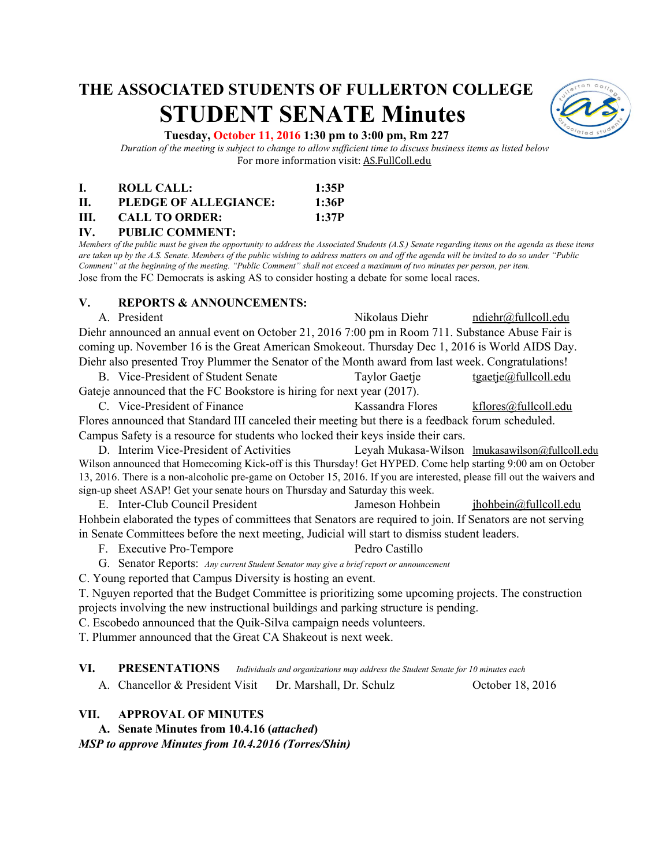# **THE ASSOCIATED STUDENTS OF FULLERTON COLLEGE STUDENT SENATE Minutes**



#### **Tuesday, October 11, 2016 1:30 pm to 3:00 pm, Rm 227**

*Duration of the meeting is subject to change to allow sufficient time to discuss business items as listed below* For more information visit: AS.FullColl.edu

|     | ROLL CALL:            | 1:35P |
|-----|-----------------------|-------|
| H.  | PLEDGE OF ALLEGIANCE: | 1:36P |
| HL. | <b>CALL TO ORDER:</b> | 1:37P |

### **IV. PUBLIC COMMENT:**

*Members of the public must be given the opportunity to address the Associated Students (A.S.) Senate regarding items on the agenda as these items are taken up by the A.S. Senate. Members of the public wishing to address matters on and off the agenda will be invited to do so under "Public Comment" at the beginning of the meeting. "Public Comment" shall not exceed a maximum of two minutes per person, per item.* Jose from the FC Democrats is asking AS to consider hosting a debate for some local races.

#### **V. REPORTS & ANNOUNCEMENTS:**

A. President Nikolaus Diehr [ndiehr@fullcoll.edu](mailto:ndiehr@fullcoll.edu) Diehr announced an annual event on October 21, 2016 7:00 pm in Room 711. Substance Abuse Fair is coming up. November 16 is the Great American Smokeout. Thursday Dec 1, 2016 is World AIDS Day. Diehr also presented Troy Plummer the Senator of the Month award from last week. Congratulations! B. Vice-President of Student Senate Taylor Gaetje [tgaetje@fullcoll.edu](mailto:tgaetje@fullcoll.edu)

Gateje announced that the FC Bookstore is hiring for next year (2017).

C. Vice-President of Finance Kassandra Flores [kflores@fullcoll.edu](mailto:kflores@fullcoll.edu) Flores announced that Standard III canceled their meeting but there is a feedback forum scheduled. Campus Safety is a resource for students who locked their keys inside their cars.

D. Interim Vice-President of Activities Leyah Mukasa-Wilson [lmukasawilson@fullcoll.edu](mailto:lmukasawilson@fullcoll.edu) Wilson announced that Homecoming Kick-off is this Thursday! Get HYPED. Come help starting 9:00 am on October 13, 2016. There is a non-alcoholic pre-game on October 15, 2016. If you are interested, please fill out the waivers and sign-up sheet ASAP! Get your senate hours on Thursday and Saturday this week.

E. Inter-Club Council President Jameson Hohbein [jhohbein@fullcoll.edu](mailto:jhohbein@fullcoll.edu) Hohbein elaborated the types of committees that Senators are required to join. If Senators are not serving in Senate Committees before the next meeting, Judicial will start to dismiss student leaders.

F. Executive Pro-Tempore Pedro Castillo

G. Senator Reports: *Any current Student Senator may give a brief report or announcement*

C. Young reported that Campus Diversity is hosting an event.

T. Nguyen reported that the Budget Committee is prioritizing some upcoming projects. The construction projects involving the new instructional buildings and parking structure is pending.

C. Escobedo announced that the Quik-Silva campaign needs volunteers.

T. Plummer announced that the Great CA Shakeout is next week.

**VI. PRESENTATIONS** *Individuals and organizations may address the Student Senate for 10 minutes each*

A. Chancellor & President Visit Dr. Marshall, Dr. Schulz October 18, 2016

#### **VII. APPROVAL OF MINUTES**

A. Senate Minutes from 10.4.16 (*attached*) *MSP to approve Minutes from 10.4.2016 (Torres/Shin)*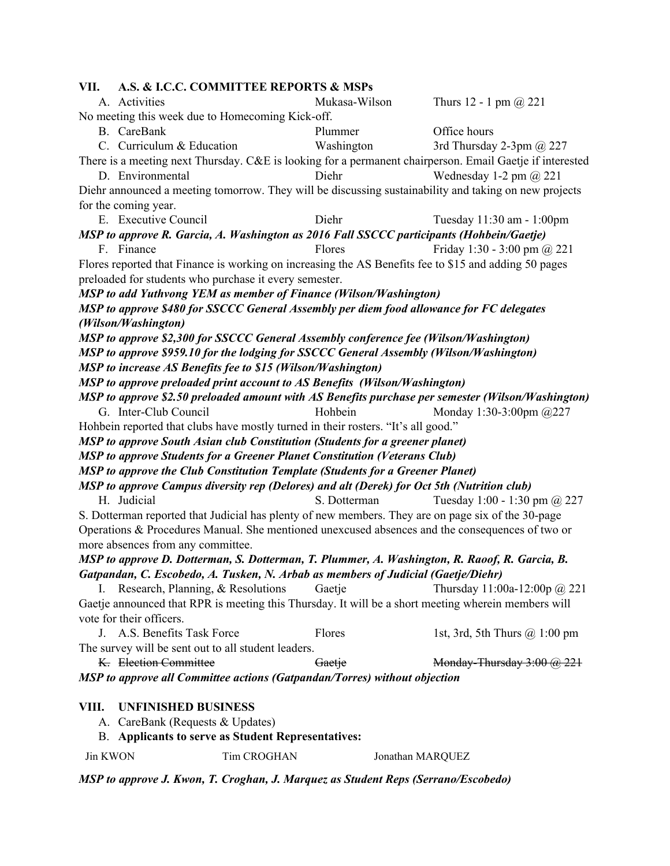**VII. A.S. & I.C.C. COMMITTEE REPORTS & MSPs** A. Activities Mukasa-Wilson Thurs 12 - 1 pm @ 221 No meeting this week due to Homecoming Kick-off. B. CareBank Plummer Office hours C. Curriculum & Education Washington 3rd Thursday 2-3pm @ 227 There is a meeting next Thursday. C&E is looking for a permanent chairperson. Email Gaetje if interested D. Environmental Diehr Wednesday 1-2 pm @ 221 Diehr announced a meeting tomorrow. They will be discussing sustainability and taking on new projects for the coming year. E. Executive Council Diehr Tuesday 11:30 am - 1:00pm *MSP to approve R. Garcia, A. Washington as 2016 Fall SSCCC participants (Hohbein/Gaetje)* F. Finance Flores Flores Fiday 1:30 - 3:00 pm  $\omega$  221 Flores reported that Finance is working on increasing the AS Benefits fee to \$15 and adding 50 pages preloaded for students who purchase it every semester. *MSP to add Yuthvong YEM as member of Finance (Wilson/Washington) MSP to approve \$480 for SSCCC General Assembly per diem food allowance for FC delegates (Wilson/Washington) MSP to approve \$2,300 for SSCCC General Assembly conference fee (Wilson/Washington) MSP to approve \$959.10 for the lodging for SSCCC General Assembly (Wilson/Washington) MSP to increase AS Benefits fee to \$15 (Wilson/Washington) MSP to approve preloaded print account to AS Benefits (Wilson/Washington) MSP to approve \$2.50 preloaded amount with AS Benefits purchase per semester (Wilson/Washington)* G. Inter-Club Council Hohbein Monday 1:30-3:00pm @227 Hohbein reported that clubs have mostly turned in their rosters. "It's all good." *MSP to approve South Asian club Constitution (Students for a greener planet) MSP to approve Students for a Greener Planet Constitution (Veterans Club) MSP to approve the Club Constitution Template (Students for a Greener Planet) MSP to approve Campus diversity rep (Delores) and alt (Derek) for Oct 5th (Nutrition club)* H. Judicial S. Dotterman Tuesday 1:00 - 1:30 pm @ 227 S. Dotterman reported that Judicial has plenty of new members. They are on page six of the 30-page Operations & Procedures Manual. She mentioned unexcused absences and the consequences of two or more absences from any committee. *MSP to approve D. Dotterman, S. Dotterman, T. Plummer, A. Washington, R. Raoof, R. Garcia, B. Gatpandan, C. Escobedo, A. Tusken, N. Arbab as members of Judicial (Gaetje/Diehr)* I. Research, Planning, & Resolutions Gaetje Thursday 11:00a-12:00p @ 221 Gaetje announced that RPR is meeting this Thursday. It will be a short meeting wherein members will vote for their officers. J. A.S. Benefits Task Force Flores 1st, 3rd, 5th Thurs @ 1:00 pm The survey will be sent out to all student leaders. K. Election Committee Gaetje Gaetgreen Monday-Thursday 3:00 @ 221 *MSP to approve all Committee actions (Gatpandan/Torres) without objection* **VIII. UNFINISHED BUSINESS**

- A. CareBank (Requests & Updates)
- B. **Applicants to serve as Student Representatives:**

Jin KWON Tim CROGHAN Jonathan MARQUEZ

*MSP to approve J. Kwon, T. Croghan, J. Marquez as Student Reps (Serrano/Escobedo)*